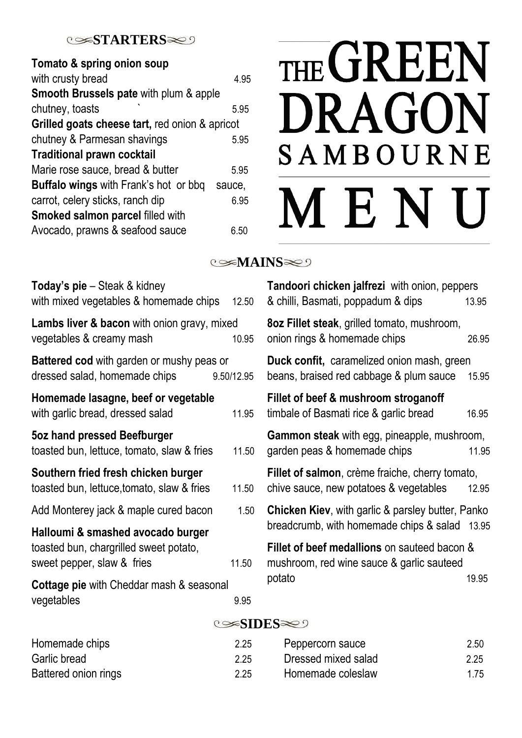#### **STARTERS**

| Tomato & spring onion soup                     |        |
|------------------------------------------------|--------|
| with crusty bread                              | 4.95   |
| Smooth Brussels pate with plum & apple         |        |
| chutney, toasts                                | 5.95   |
| Grilled goats cheese tart, red onion & apricot |        |
| chutney & Parmesan shavings                    | 5.95   |
| <b>Traditional prawn cocktail</b>              |        |
| Marie rose sauce, bread & butter               | 5.95   |
| Buffalo wings with Frank's hot or bbq          | sauce, |
| carrot, celery sticks, ranch dip               | 6.95   |
| <b>Smoked salmon parcel filled with</b>        |        |
| Avocado, prawns & seafood sauce                | 6.50   |

# THE GREEN **DRAGON SAMBOURNE** MENU

#### C**≫MAINS**<sup>≥⊙</sup>

| Today's pie - Steak & kidney<br>with mixed vegetables & homemade chips            | 12.50      | Tandoori chicken jalfrezi with onion, peppers<br>& chilli, Basmati, poppadum & dips       | 13.95 |
|-----------------------------------------------------------------------------------|------------|-------------------------------------------------------------------------------------------|-------|
| Lambs liver & bacon with onion gravy, mixed<br>vegetables & creamy mash           | 10.95      | 8oz Fillet steak, grilled tomato, mushroom,<br>onion rings & homemade chips               | 26.95 |
| <b>Battered cod with garden or mushy peas or</b><br>dressed salad, homemade chips | 9.50/12.95 | Duck confit, caramelized onion mash, green<br>beans, braised red cabbage & plum sauce     | 15.95 |
| Homemade lasagne, beef or vegetable<br>with garlic bread, dressed salad           | 11.95      | Fillet of beef & mushroom stroganoff<br>timbale of Basmati rice & garlic bread            | 16.95 |
| 5oz hand pressed Beefburger<br>toasted bun, lettuce, tomato, slaw & fries         | 11.50      | Gammon steak with egg, pineapple, mushroom,<br>garden peas & homemade chips               | 11.95 |
| Southern fried fresh chicken burger<br>toasted bun, lettuce, tomato, slaw & fries | 11.50      | Fillet of salmon, crème fraiche, cherry tomato,<br>chive sauce, new potatoes & vegetables | 12.95 |
| Add Monterey jack & maple cured bacon                                             | 1.50       | <b>Chicken Kiev, with garlic &amp; parsley butter, Panko</b>                              |       |
| Halloumi & smashed avocado burger                                                 |            | breadcrumb, with homemade chips & salad 13.95                                             |       |
| toasted bun, chargrilled sweet potato,<br>sweet pepper, slaw & fries              | 11.50      | Fillet of beef medallions on sauteed bacon &<br>mushroom, red wine sauce & garlic sauteed |       |
| <b>Cottage pie with Cheddar mash &amp; seasonal</b>                               |            | potato                                                                                    | 19.95 |
| vegetables                                                                        | 9.95       |                                                                                           |       |
|                                                                                   |            | ○≤SIDES≥                                                                                  |       |
| Homemade chips                                                                    | 2.25       | Peppercorn sauce                                                                          | 2.50  |
| Garlic bread                                                                      | 2.25       | Dressed mixed salad                                                                       | 2.25  |

Battered onion rings and the 2.25 Homemade coleslaw 1.75